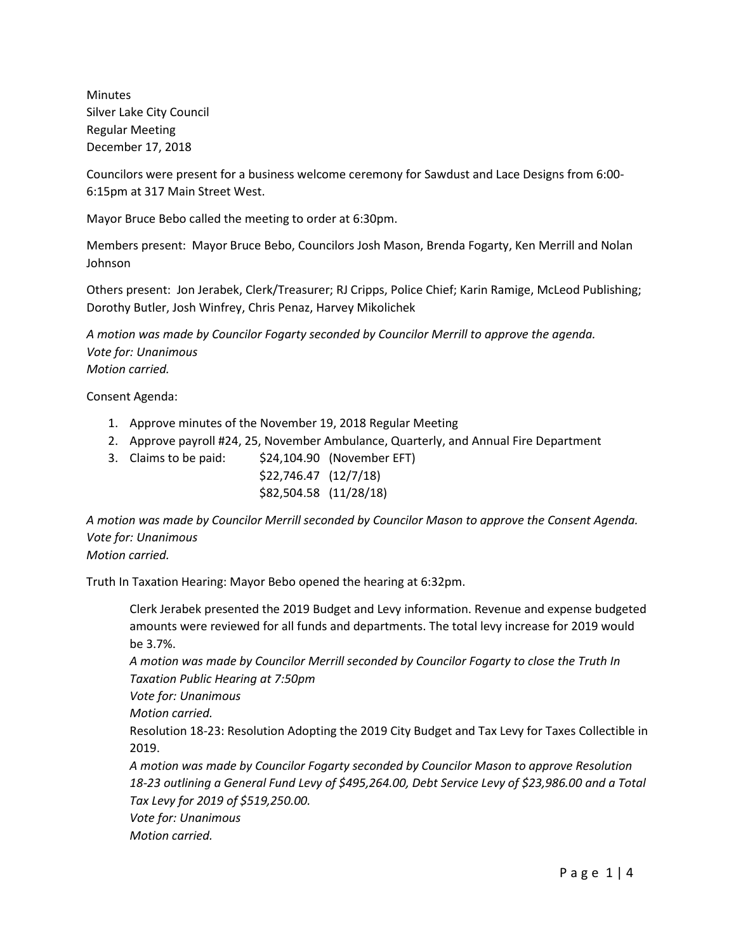Minutes Silver Lake City Council Regular Meeting December 17, 2018

Councilors were present for a business welcome ceremony for Sawdust and Lace Designs from 6:00- 6:15pm at 317 Main Street West.

Mayor Bruce Bebo called the meeting to order at 6:30pm.

Members present: Mayor Bruce Bebo, Councilors Josh Mason, Brenda Fogarty, Ken Merrill and Nolan Johnson

Others present: Jon Jerabek, Clerk/Treasurer; RJ Cripps, Police Chief; Karin Ramige, McLeod Publishing; Dorothy Butler, Josh Winfrey, Chris Penaz, Harvey Mikolichek

*A motion was made by Councilor Fogarty seconded by Councilor Merrill to approve the agenda. Vote for: Unanimous Motion carried.*

Consent Agenda:

- 1. Approve minutes of the November 19, 2018 Regular Meeting
- 2. Approve payroll #24, 25, November Ambulance, Quarterly, and Annual Fire Department
- 3. Claims to be paid: \$24,104.90 (November EFT) \$22,746.47 (12/7/18)

\$82,504.58 (11/28/18)

*A motion was made by Councilor Merrill seconded by Councilor Mason to approve the Consent Agenda. Vote for: Unanimous Motion carried.*

Truth In Taxation Hearing: Mayor Bebo opened the hearing at 6:32pm.

Clerk Jerabek presented the 2019 Budget and Levy information. Revenue and expense budgeted amounts were reviewed for all funds and departments. The total levy increase for 2019 would be 3.7%.

*A motion was made by Councilor Merrill seconded by Councilor Fogarty to close the Truth In Taxation Public Hearing at 7:50pm*

*Vote for: Unanimous*

*Motion carried.*

Resolution 18-23: Resolution Adopting the 2019 City Budget and Tax Levy for Taxes Collectible in 2019.

*A motion was made by Councilor Fogarty seconded by Councilor Mason to approve Resolution 18-23 outlining a General Fund Levy of \$495,264.00, Debt Service Levy of \$23,986.00 and a Total Tax Levy for 2019 of \$519,250.00. Vote for: Unanimous*

*Motion carried.*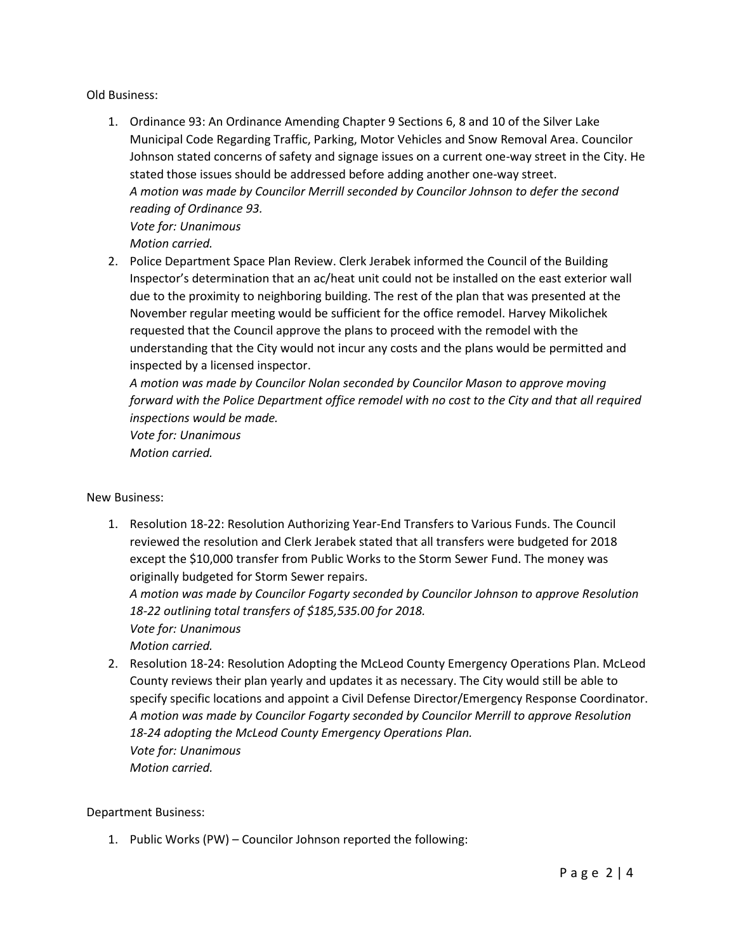Old Business:

1. Ordinance 93: An Ordinance Amending Chapter 9 Sections 6, 8 and 10 of the Silver Lake Municipal Code Regarding Traffic, Parking, Motor Vehicles and Snow Removal Area. Councilor Johnson stated concerns of safety and signage issues on a current one-way street in the City. He stated those issues should be addressed before adding another one-way street. *A motion was made by Councilor Merrill seconded by Councilor Johnson to defer the second reading of Ordinance 93.*

*Vote for: Unanimous Motion carried.*

2. Police Department Space Plan Review. Clerk Jerabek informed the Council of the Building Inspector's determination that an ac/heat unit could not be installed on the east exterior wall due to the proximity to neighboring building. The rest of the plan that was presented at the November regular meeting would be sufficient for the office remodel. Harvey Mikolichek requested that the Council approve the plans to proceed with the remodel with the understanding that the City would not incur any costs and the plans would be permitted and inspected by a licensed inspector.

*A motion was made by Councilor Nolan seconded by Councilor Mason to approve moving forward with the Police Department office remodel with no cost to the City and that all required inspections would be made.* 

*Vote for: Unanimous Motion carried.*

New Business:

1. Resolution 18-22: Resolution Authorizing Year-End Transfers to Various Funds. The Council reviewed the resolution and Clerk Jerabek stated that all transfers were budgeted for 2018 except the \$10,000 transfer from Public Works to the Storm Sewer Fund. The money was originally budgeted for Storm Sewer repairs.

*A motion was made by Councilor Fogarty seconded by Councilor Johnson to approve Resolution 18-22 outlining total transfers of \$185,535.00 for 2018. Vote for: Unanimous* 

*Motion carried.*

2. Resolution 18-24: Resolution Adopting the McLeod County Emergency Operations Plan. McLeod County reviews their plan yearly and updates it as necessary. The City would still be able to specify specific locations and appoint a Civil Defense Director/Emergency Response Coordinator. *A motion was made by Councilor Fogarty seconded by Councilor Merrill to approve Resolution 18-24 adopting the McLeod County Emergency Operations Plan. Vote for: Unanimous Motion carried.*

Department Business:

1. Public Works (PW) – Councilor Johnson reported the following: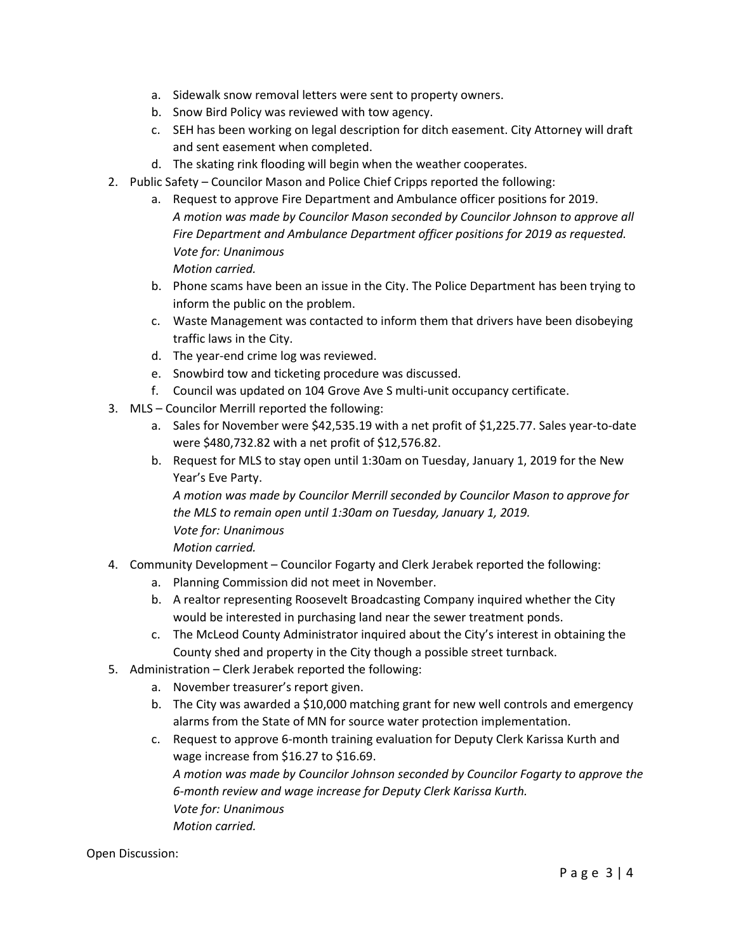- a. Sidewalk snow removal letters were sent to property owners.
- b. Snow Bird Policy was reviewed with tow agency.
- c. SEH has been working on legal description for ditch easement. City Attorney will draft and sent easement when completed.
- d. The skating rink flooding will begin when the weather cooperates.
- 2. Public Safety Councilor Mason and Police Chief Cripps reported the following:
	- a. Request to approve Fire Department and Ambulance officer positions for 2019. *A motion was made by Councilor Mason seconded by Councilor Johnson to approve all Fire Department and Ambulance Department officer positions for 2019 as requested. Vote for: Unanimous Motion carried.*
	- b. Phone scams have been an issue in the City. The Police Department has been trying to inform the public on the problem.
	- c. Waste Management was contacted to inform them that drivers have been disobeying traffic laws in the City.
	- d. The year-end crime log was reviewed.
	- e. Snowbird tow and ticketing procedure was discussed.
	- f. Council was updated on 104 Grove Ave S multi-unit occupancy certificate.
- 3. MLS Councilor Merrill reported the following:
	- a. Sales for November were \$42,535.19 with a net profit of \$1,225.77. Sales year-to-date were \$480,732.82 with a net profit of \$12,576.82.
	- b. Request for MLS to stay open until 1:30am on Tuesday, January 1, 2019 for the New Year's Eve Party.

*A motion was made by Councilor Merrill seconded by Councilor Mason to approve for the MLS to remain open until 1:30am on Tuesday, January 1, 2019. Vote for: Unanimous*

*Motion carried.*

- 4. Community Development Councilor Fogarty and Clerk Jerabek reported the following:
	- a. Planning Commission did not meet in November.
	- b. A realtor representing Roosevelt Broadcasting Company inquired whether the City would be interested in purchasing land near the sewer treatment ponds.
	- c. The McLeod County Administrator inquired about the City's interest in obtaining the County shed and property in the City though a possible street turnback.
- 5. Administration Clerk Jerabek reported the following:
	- a. November treasurer's report given.
	- b. The City was awarded a \$10,000 matching grant for new well controls and emergency alarms from the State of MN for source water protection implementation.
	- c. Request to approve 6-month training evaluation for Deputy Clerk Karissa Kurth and wage increase from \$16.27 to \$16.69. *A motion was made by Councilor Johnson seconded by Councilor Fogarty to approve the 6-month review and wage increase for Deputy Clerk Karissa Kurth. Vote for: Unanimous Motion carried.*

Open Discussion: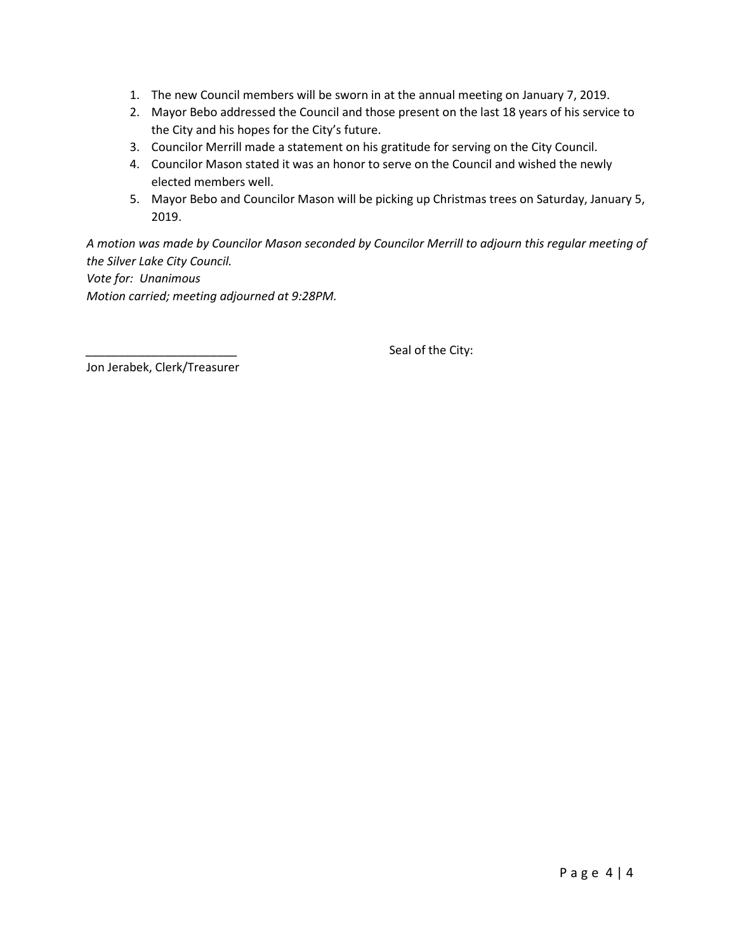- 1. The new Council members will be sworn in at the annual meeting on January 7, 2019.
- 2. Mayor Bebo addressed the Council and those present on the last 18 years of his service to the City and his hopes for the City's future.
- 3. Councilor Merrill made a statement on his gratitude for serving on the City Council.
- 4. Councilor Mason stated it was an honor to serve on the Council and wished the newly elected members well.
- 5. Mayor Bebo and Councilor Mason will be picking up Christmas trees on Saturday, January 5, 2019.

*A motion was made by Councilor Mason seconded by Councilor Merrill to adjourn this regular meeting of the Silver Lake City Council. Vote for: Unanimous Motion carried; meeting adjourned at 9:28PM.*

Seal of the City:

Jon Jerabek, Clerk/Treasurer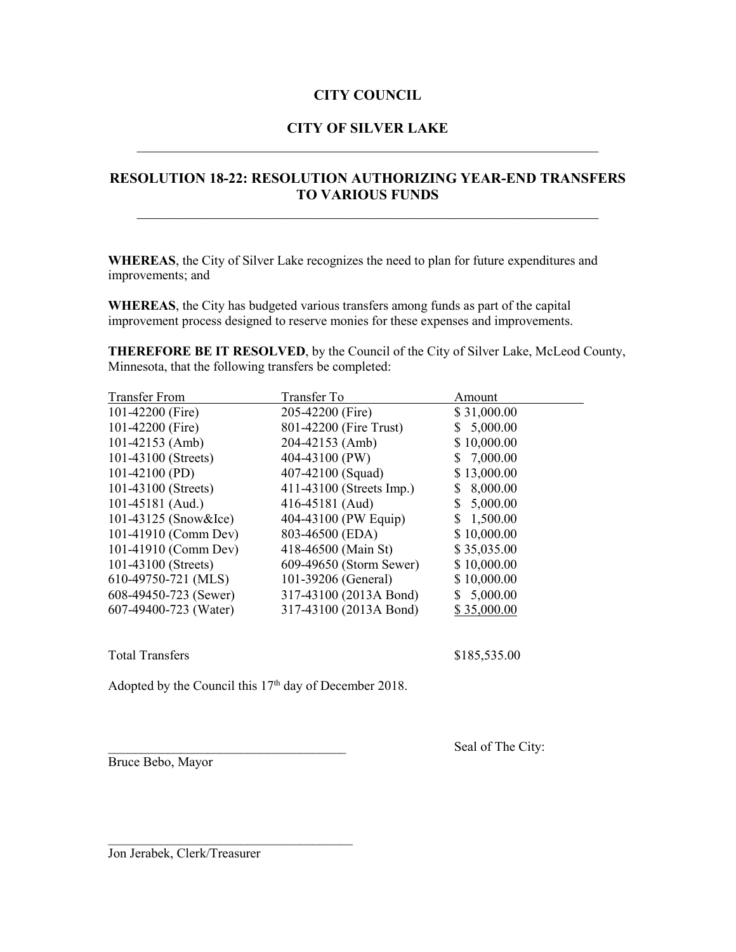### **CITY COUNCIL**

# **CITY OF SILVER LAKE** \_\_\_\_\_\_\_\_\_\_\_\_\_\_\_\_\_\_\_\_\_\_\_\_\_\_\_\_\_\_\_\_\_\_\_\_\_\_\_\_\_\_\_\_\_\_\_\_\_\_\_\_\_\_\_\_\_\_\_\_\_\_\_\_

# **RESOLUTION 18-22: RESOLUTION AUTHORIZING YEAR-END TRANSFERS TO VARIOUS FUNDS**

**WHEREAS**, the City of Silver Lake recognizes the need to plan for future expenditures and improvements; and

**WHEREAS**, the City has budgeted various transfers among funds as part of the capital improvement process designed to reserve monies for these expenses and improvements.

**THEREFORE BE IT RESOLVED**, by the Council of the City of Silver Lake, McLeod County, Minnesota, that the following transfers be completed:

| <b>Transfer From</b>   | Transfer To              | Amount       |
|------------------------|--------------------------|--------------|
| 101-42200 (Fire)       | 205-42200 (Fire)         | \$31,000.00  |
| 101-42200 (Fire)       | 801-42200 (Fire Trust)   | \$5,000.00   |
| 101-42153 (Amb)        | 204-42153 (Amb)          | \$10,000.00  |
| 101-43100 (Streets)    | 404-43100 (PW)           | \$7,000.00   |
| 101-42100 (PD)         | 407-42100 (Squad)        | \$13,000.00  |
| 101-43100 (Streets)    | 411-43100 (Streets Imp.) | \$8,000.00   |
| 101-45181 (Aud.)       | 416-45181 (Aud)          | \$5,000.00   |
| 101-43125 (Snow & Ice) | 404-43100 (PW Equip)     | \$1,500.00   |
| 101-41910 (Comm Dev)   | 803-46500 (EDA)          | \$10,000.00  |
| 101-41910 (Comm Dev)   | 418-46500 (Main St)      | \$35,035.00  |
| 101-43100 (Streets)    | 609-49650 (Storm Sewer)  | \$10,000.00  |
| 610-49750-721 (MLS)    | 101-39206 (General)      | \$10,000.00  |
| 608-49450-723 (Sewer)  | 317-43100 (2013A Bond)   | \$5,000.00   |
| 607-49400-723 (Water)  | 317-43100 (2013A Bond)   | \$35,000.00  |
|                        |                          |              |
| <b>Total Transfers</b> |                          | \$185,535.00 |

Adopted by the Council this 17<sup>th</sup> day of December 2018.

Bruce Bebo, Mayor

Seal of The City:

Jon Jerabek, Clerk/Treasurer

 $\mathcal{L}_\text{max}$  , where  $\mathcal{L}_\text{max}$  , we are the set of the set of the set of the set of the set of the set of the set of the set of the set of the set of the set of the set of the set of the set of the set of the set of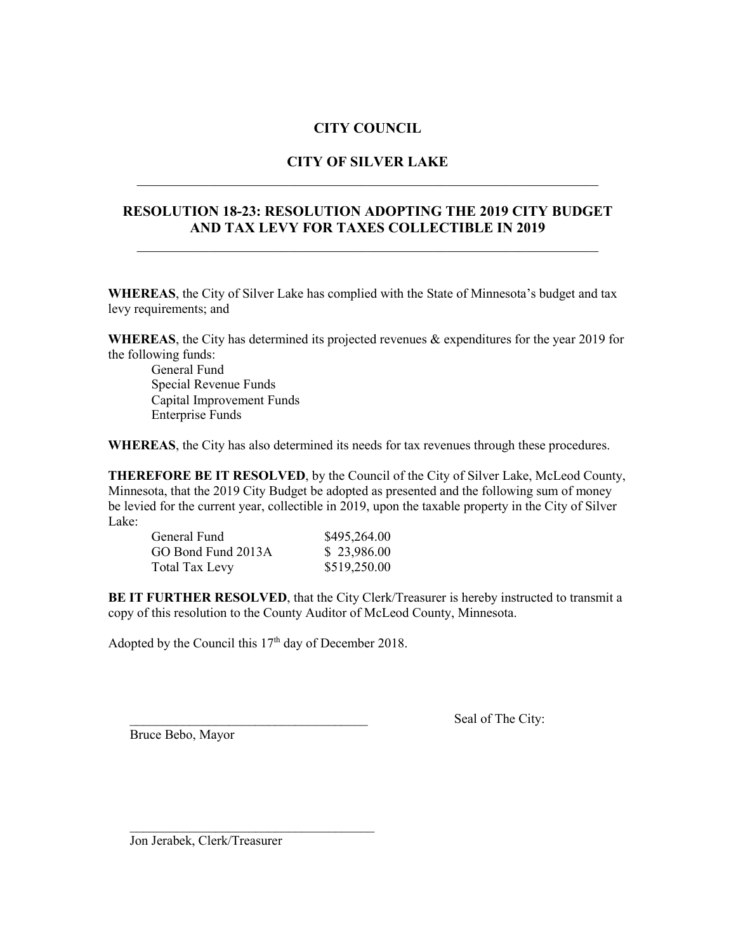# **CITY COUNCIL**

# **CITY OF SILVER LAKE** \_\_\_\_\_\_\_\_\_\_\_\_\_\_\_\_\_\_\_\_\_\_\_\_\_\_\_\_\_\_\_\_\_\_\_\_\_\_\_\_\_\_\_\_\_\_\_\_\_\_\_\_\_\_\_\_\_\_\_\_\_\_\_\_

# **RESOLUTION 18-23: RESOLUTION ADOPTING THE 2019 CITY BUDGET AND TAX LEVY FOR TAXES COLLECTIBLE IN 2019**

\_\_\_\_\_\_\_\_\_\_\_\_\_\_\_\_\_\_\_\_\_\_\_\_\_\_\_\_\_\_\_\_\_\_\_\_\_\_\_\_\_\_\_\_\_\_\_\_\_\_\_\_\_\_\_\_\_\_\_\_\_\_\_\_

**WHEREAS**, the City of Silver Lake has complied with the State of Minnesota's budget and tax levy requirements; and

**WHEREAS**, the City has determined its projected revenues & expenditures for the year 2019 for the following funds:

General Fund Special Revenue Funds Capital Improvement Funds Enterprise Funds

**WHEREAS**, the City has also determined its needs for tax revenues through these procedures.

**THEREFORE BE IT RESOLVED**, by the Council of the City of Silver Lake, McLeod County, Minnesota, that the 2019 City Budget be adopted as presented and the following sum of money be levied for the current year, collectible in 2019, upon the taxable property in the City of Silver Lake:

| General Fund          | \$495,264.00 |
|-----------------------|--------------|
| GO Bond Fund 2013A    | \$23,986.00  |
| <b>Total Tax Levy</b> | \$519,250.00 |

**BE IT FURTHER RESOLVED**, that the City Clerk/Treasurer is hereby instructed to transmit a copy of this resolution to the County Auditor of McLeod County, Minnesota.

Adopted by the Council this 17<sup>th</sup> day of December 2018.

 $\mathcal{L}_\text{max}$  , where  $\mathcal{L}_\text{max}$  , we have the set of  $\mathcal{L}_\text{max}$ 

Bruce Bebo, Mayor

Seal of The City:

Jon Jerabek, Clerk/Treasurer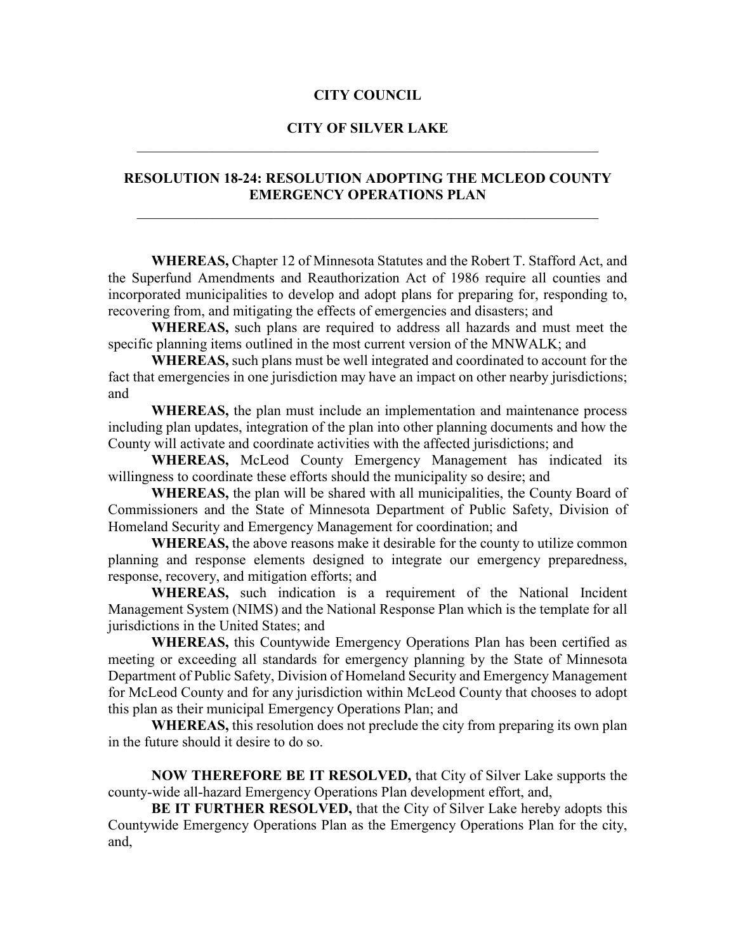#### **CITY COUNCIL**

### **CITY OF SILVER LAKE** \_\_\_\_\_\_\_\_\_\_\_\_\_\_\_\_\_\_\_\_\_\_\_\_\_\_\_\_\_\_\_\_\_\_\_\_\_\_\_\_\_\_\_\_\_\_\_\_\_\_\_\_\_\_\_\_\_\_\_\_\_\_\_\_

### **RESOLUTION 18-24: RESOLUTION ADOPTING THE MCLEOD COUNTY EMERGENCY OPERATIONS PLAN**

**WHEREAS,** Chapter 12 of Minnesota Statutes and the Robert T. Stafford Act, and the Superfund Amendments and Reauthorization Act of 1986 require all counties and incorporated municipalities to develop and adopt plans for preparing for, responding to, recovering from, and mitigating the effects of emergencies and disasters; and

**WHEREAS,** such plans are required to address all hazards and must meet the specific planning items outlined in the most current version of the MNWALK; and

**WHEREAS,** such plans must be well integrated and coordinated to account for the fact that emergencies in one jurisdiction may have an impact on other nearby jurisdictions; and

**WHEREAS,** the plan must include an implementation and maintenance process including plan updates, integration of the plan into other planning documents and how the County will activate and coordinate activities with the affected jurisdictions; and

**WHEREAS,** McLeod County Emergency Management has indicated its willingness to coordinate these efforts should the municipality so desire; and

**WHEREAS,** the plan will be shared with all municipalities, the County Board of Commissioners and the State of Minnesota Department of Public Safety, Division of Homeland Security and Emergency Management for coordination; and

**WHEREAS,** the above reasons make it desirable for the county to utilize common planning and response elements designed to integrate our emergency preparedness, response, recovery, and mitigation efforts; and

**WHEREAS,** such indication is a requirement of the National Incident Management System (NIMS) and the National Response Plan which is the template for all jurisdictions in the United States; and

**WHEREAS,** this Countywide Emergency Operations Plan has been certified as meeting or exceeding all standards for emergency planning by the State of Minnesota Department of Public Safety, Division of Homeland Security and Emergency Management for McLeod County and for any jurisdiction within McLeod County that chooses to adopt this plan as their municipal Emergency Operations Plan; and

**WHEREAS,** this resolution does not preclude the city from preparing its own plan in the future should it desire to do so.

**NOW THEREFORE BE IT RESOLVED,** that City of Silver Lake supports the county-wide all-hazard Emergency Operations Plan development effort, and,

**BE IT FURTHER RESOLVED,** that the City of Silver Lake hereby adopts this Countywide Emergency Operations Plan as the Emergency Operations Plan for the city, and,